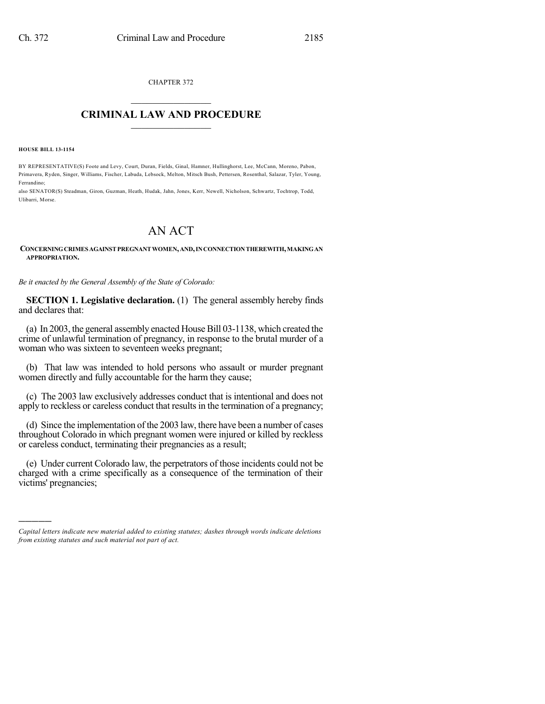CHAPTER 372  $\mathcal{L}_\text{max}$  . The set of the set of the set of the set of the set of the set of the set of the set of the set of the set of the set of the set of the set of the set of the set of the set of the set of the set of the set

### **CRIMINAL LAW AND PROCEDURE**  $\_$

**HOUSE BILL 13-1154**

)))))

BY REPRESENTATIVE(S) Foote and Levy, Court, Duran, Fields, Ginal, Hamner, Hullinghorst, Lee, McCann, Moreno, Pabon, Primavera, Ryden, Singer, Williams, Fischer, Labuda, Lebsock, Melton, Mitsch Bush, Pettersen, Rosenthal, Salazar, Tyler, Young, Ferrandino;

also SENATOR(S) Steadman, Giron, Guzman, Heath, Hudak, Jahn, Jones, Kerr, Newell, Nicholson, Schwartz, Tochtrop, Todd, Ulibarri, Morse.

# AN ACT

### **CONCERNINGCRIMES AGAINSTPREGNANT WOMEN,AND,INCONNECTIONTHEREWITH,MAKINGAN APPROPRIATION.**

*Be it enacted by the General Assembly of the State of Colorado:*

**SECTION 1. Legislative declaration.** (1) The general assembly hereby finds and declares that:

(a) In 2003, the general assembly enacted House Bill 03-1138, which created the crime of unlawful termination of pregnancy, in response to the brutal murder of a woman who was sixteen to seventeen weeks pregnant;

(b) That law was intended to hold persons who assault or murder pregnant women directly and fully accountable for the harm they cause;

(c) The 2003 law exclusively addresses conduct that is intentional and does not apply to reckless or careless conduct that results in the termination of a pregnancy;

(d) Since the implementation of the 2003 law, there have been a number of cases throughout Colorado in which pregnant women were injured or killed by reckless or careless conduct, terminating their pregnancies as a result;

(e) Under current Colorado law, the perpetrators of those incidents could not be charged with a crime specifically as a consequence of the termination of their victims' pregnancies;

*Capital letters indicate new material added to existing statutes; dashes through words indicate deletions from existing statutes and such material not part of act.*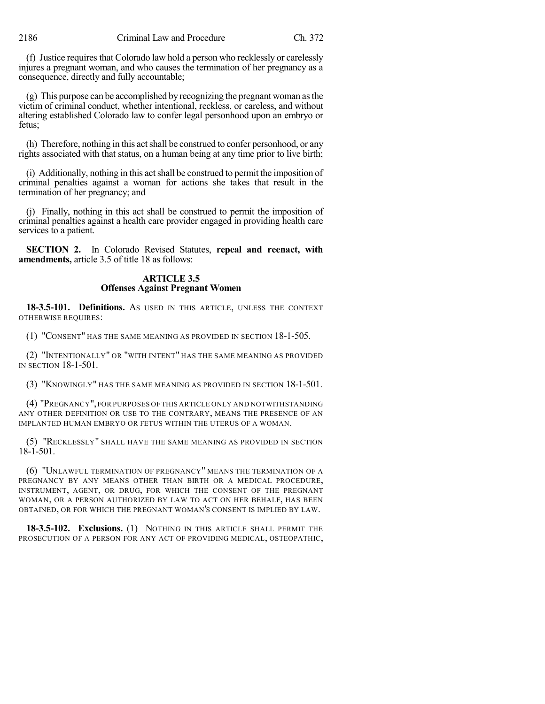(f) Justice requires that Colorado law hold a person who recklessly or carelessly injures a pregnant woman, and who causes the termination of her pregnancy as a consequence, directly and fully accountable;

(g) This purpose can be accomplished by recognizing the pregnant woman asthe victim of criminal conduct, whether intentional, reckless, or careless, and without altering established Colorado law to confer legal personhood upon an embryo or fetus;

(h) Therefore, nothing in this act shall be construed to confer personhood, or any rights associated with that status, on a human being at any time prior to live birth;

(i) Additionally, nothing in this actshall be construed to permit the imposition of criminal penalties against a woman for actions she takes that result in the termination of her pregnancy; and

(j) Finally, nothing in this act shall be construed to permit the imposition of criminal penalties against a health care provider engaged in providing health care services to a patient.

**SECTION 2.** In Colorado Revised Statutes, **repeal and reenact, with amendments,** article 3.5 of title 18 as follows:

## **ARTICLE 3.5 Offenses Against Pregnant Women**

**18-3.5-101. Definitions.** AS USED IN THIS ARTICLE, UNLESS THE CONTEXT OTHERWISE REQUIRES:

(1) "CONSENT" HAS THE SAME MEANING AS PROVIDED IN SECTION 18-1-505.

(2) "INTENTIONALLY" OR "WITH INTENT" HAS THE SAME MEANING AS PROVIDED IN SECTION 18-1-501.

(3) "KNOWINGLY" HAS THE SAME MEANING AS PROVIDED IN SECTION 18-1-501.

(4) "PREGNANCY",FOR PURPOSES OF THIS ARTICLE ONLY AND NOTWITHSTANDING ANY OTHER DEFINITION OR USE TO THE CONTRARY, MEANS THE PRESENCE OF AN IMPLANTED HUMAN EMBRYO OR FETUS WITHIN THE UTERUS OF A WOMAN.

(5) "RECKLESSLY" SHALL HAVE THE SAME MEANING AS PROVIDED IN SECTION 18-1-501.

(6) "UNLAWFUL TERMINATION OF PREGNANCY" MEANS THE TERMINATION OF A PREGNANCY BY ANY MEANS OTHER THAN BIRTH OR A MEDICAL PROCEDURE, INSTRUMENT, AGENT, OR DRUG, FOR WHICH THE CONSENT OF THE PREGNANT WOMAN, OR A PERSON AUTHORIZED BY LAW TO ACT ON HER BEHALF, HAS BEEN OBTAINED, OR FOR WHICH THE PREGNANT WOMAN'S CONSENT IS IMPLIED BY LAW.

**18-3.5-102. Exclusions.** (1) NOTHING IN THIS ARTICLE SHALL PERMIT THE PROSECUTION OF A PERSON FOR ANY ACT OF PROVIDING MEDICAL, OSTEOPATHIC,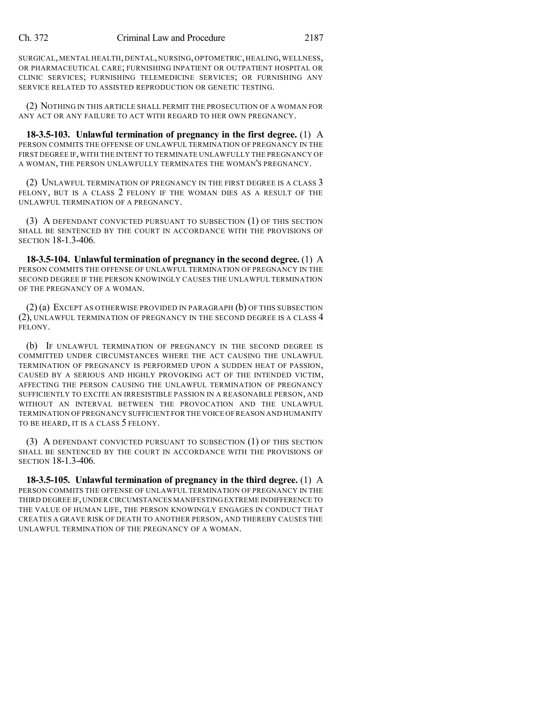SURGICAL, MENTAL HEALTH, DENTAL, NURSING, OPTOMETRIC, HEALING, WELLNESS, OR PHARMACEUTICAL CARE; FURNISHING INPATIENT OR OUTPATIENT HOSPITAL OR CLINIC SERVICES; FURNISHING TELEMEDICINE SERVICES; OR FURNISHING ANY SERVICE RELATED TO ASSISTED REPRODUCTION OR GENETIC TESTING.

(2) NOTHING IN THIS ARTICLE SHALL PERMIT THE PROSECUTION OF A WOMAN FOR ANY ACT OR ANY FAILURE TO ACT WITH REGARD TO HER OWN PREGNANCY.

**18-3.5-103. Unlawful termination of pregnancy in the first degree.** (1) A PERSON COMMITS THE OFFENSE OF UNLAWFUL TERMINATION OF PREGNANCY IN THE FIRST DEGREE IF,WITH THE INTENT TO TERMINATE UNLAWFULLY THE PREGNANCY OF A WOMAN, THE PERSON UNLAWFULLY TERMINATES THE WOMAN'S PREGNANCY.

(2) UNLAWFUL TERMINATION OF PREGNANCY IN THE FIRST DEGREE IS A CLASS 3 FELONY, BUT IS A CLASS 2 FELONY IF THE WOMAN DIES AS A RESULT OF THE UNLAWFUL TERMINATION OF A PREGNANCY.

(3) A DEFENDANT CONVICTED PURSUANT TO SUBSECTION (1) OF THIS SECTION SHALL BE SENTENCED BY THE COURT IN ACCORDANCE WITH THE PROVISIONS OF SECTION 18-1.3-406.

**18-3.5-104. Unlawful termination of pregnancy in the second degree.** (1) A PERSON COMMITS THE OFFENSE OF UNLAWFUL TERMINATION OF PREGNANCY IN THE SECOND DEGREE IF THE PERSON KNOWINGLY CAUSES THE UNLAWFUL TERMINATION OF THE PREGNANCY OF A WOMAN.

(2) (a) EXCEPT AS OTHERWISE PROVIDED IN PARAGRAPH (b) OF THIS SUBSECTION (2), UNLAWFUL TERMINATION OF PREGNANCY IN THE SECOND DEGREE IS A CLASS 4 FELONY.

(b) IF UNLAWFUL TERMINATION OF PREGNANCY IN THE SECOND DEGREE IS COMMITTED UNDER CIRCUMSTANCES WHERE THE ACT CAUSING THE UNLAWFUL TERMINATION OF PREGNANCY IS PERFORMED UPON A SUDDEN HEAT OF PASSION, CAUSED BY A SERIOUS AND HIGHLY PROVOKING ACT OF THE INTENDED VICTIM, AFFECTING THE PERSON CAUSING THE UNLAWFUL TERMINATION OF PREGNANCY SUFFICIENTLY TO EXCITE AN IRRESISTIBLE PASSION IN A REASONABLE PERSON, AND WITHOUT AN INTERVAL BETWEEN THE PROVOCATION AND THE UNLAWFUL TERMINATION OF PREGNANCY SUFFICIENT FOR THE VOICE OFREASON AND HUMANITY TO BE HEARD, IT IS A CLASS 5 FELONY.

(3) A DEFENDANT CONVICTED PURSUANT TO SUBSECTION (1) OF THIS SECTION SHALL BE SENTENCED BY THE COURT IN ACCORDANCE WITH THE PROVISIONS OF SECTION 18-1.3-406.

**18-3.5-105. Unlawful termination of pregnancy in the third degree.** (1) A PERSON COMMITS THE OFFENSE OF UNLAWFUL TERMINATION OF PREGNANCY IN THE THIRD DEGREE IF,UNDER CIRCUMSTANCES MANIFESTING EXTREME INDIFFERENCE TO THE VALUE OF HUMAN LIFE, THE PERSON KNOWINGLY ENGAGES IN CONDUCT THAT CREATES A GRAVE RISK OF DEATH TO ANOTHER PERSON, AND THEREBY CAUSES THE UNLAWFUL TERMINATION OF THE PREGNANCY OF A WOMAN.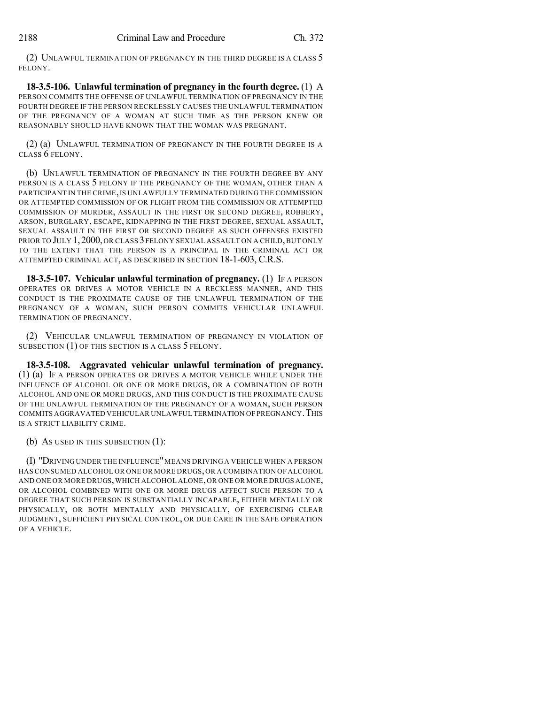(2) UNLAWFUL TERMINATION OF PREGNANCY IN THE THIRD DEGREE IS A CLASS 5 FELONY.

**18-3.5-106. Unlawful termination of pregnancy in the fourth degree.** (1) A PERSON COMMITS THE OFFENSE OF UNLAWFUL TERMINATION OF PREGNANCY IN THE FOURTH DEGREE IF THE PERSON RECKLESSLY CAUSES THE UNLAWFUL TERMINATION OF THE PREGNANCY OF A WOMAN AT SUCH TIME AS THE PERSON KNEW OR REASONABLY SHOULD HAVE KNOWN THAT THE WOMAN WAS PREGNANT.

(2) (a) UNLAWFUL TERMINATION OF PREGNANCY IN THE FOURTH DEGREE IS A CLASS 6 FELONY.

(b) UNLAWFUL TERMINATION OF PREGNANCY IN THE FOURTH DEGREE BY ANY PERSON IS A CLASS 5 FELONY IF THE PREGNANCY OF THE WOMAN, OTHER THAN A PARTICIPANT IN THE CRIME,IS UNLAWFULLY TERMINATED DURING THE COMMISSION OR ATTEMPTED COMMISSION OF OR FLIGHT FROM THE COMMISSION OR ATTEMPTED COMMISSION OF MURDER, ASSAULT IN THE FIRST OR SECOND DEGREE, ROBBERY, ARSON, BURGLARY, ESCAPE, KIDNAPPING IN THE FIRST DEGREE, SEXUAL ASSAULT, SEXUAL ASSAULT IN THE FIRST OR SECOND DEGREE AS SUCH OFFENSES EXISTED PRIOR TO JULY 1, 2000, OR CLASS 3 FELONY SEXUAL ASSAULT ON A CHILD, BUT ONLY TO THE EXTENT THAT THE PERSON IS A PRINCIPAL IN THE CRIMINAL ACT OR ATTEMPTED CRIMINAL ACT, AS DESCRIBED IN SECTION 18-1-603, C.R.S.

**18-3.5-107. Vehicular unlawful termination of pregnancy.** (1) IF A PERSON OPERATES OR DRIVES A MOTOR VEHICLE IN A RECKLESS MANNER, AND THIS CONDUCT IS THE PROXIMATE CAUSE OF THE UNLAWFUL TERMINATION OF THE PREGNANCY OF A WOMAN, SUCH PERSON COMMITS VEHICULAR UNLAWFUL TERMINATION OF PREGNANCY.

(2) VEHICULAR UNLAWFUL TERMINATION OF PREGNANCY IN VIOLATION OF SUBSECTION (1) OF THIS SECTION IS A CLASS 5 FELONY.

**18-3.5-108. Aggravated vehicular unlawful termination of pregnancy.** (1) (a) IF A PERSON OPERATES OR DRIVES A MOTOR VEHICLE WHILE UNDER THE INFLUENCE OF ALCOHOL OR ONE OR MORE DRUGS, OR A COMBINATION OF BOTH ALCOHOL AND ONE OR MORE DRUGS, AND THIS CONDUCT IS THE PROXIMATE CAUSE OF THE UNLAWFUL TERMINATION OF THE PREGNANCY OF A WOMAN, SUCH PERSON COMMITS AGGRAVATED VEHICULAR UNLAWFUL TERMINATION OF PREGNANCY. THIS IS A STRICT LIABILITY CRIME.

(b) AS USED IN THIS SUBSECTION (1):

(I) "DRIVING UNDER THE INFLUENCE"MEANS DRIVING A VEHICLE WHEN A PERSON HAS CONSUMED ALCOHOL OR ONE OR MORE DRUGS,OR A COMBINATION OF ALCOHOL AND ONE OR MORE DRUGS,WHICH ALCOHOL ALONE,OR ONE OR MORE DRUGS ALONE, OR ALCOHOL COMBINED WITH ONE OR MORE DRUGS AFFECT SUCH PERSON TO A DEGREE THAT SUCH PERSON IS SUBSTANTIALLY INCAPABLE, EITHER MENTALLY OR PHYSICALLY, OR BOTH MENTALLY AND PHYSICALLY, OF EXERCISING CLEAR JUDGMENT, SUFFICIENT PHYSICAL CONTROL, OR DUE CARE IN THE SAFE OPERATION OF A VEHICLE.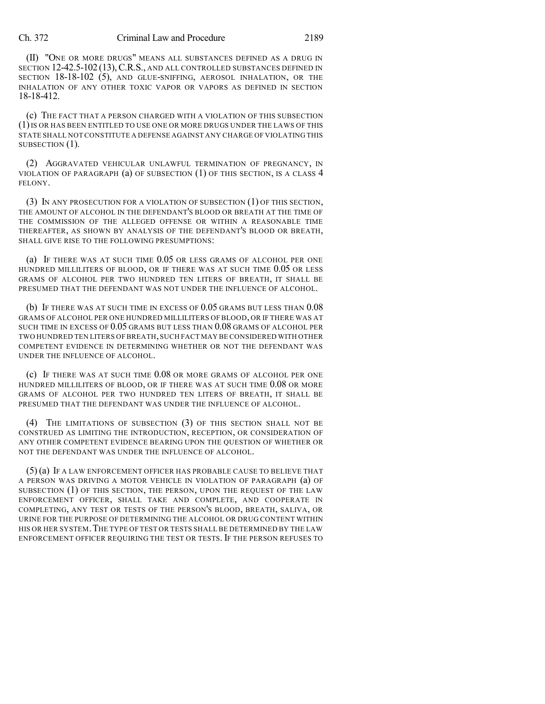### Ch. 372 Criminal Law and Procedure 2189

(II) "ONE OR MORE DRUGS" MEANS ALL SUBSTANCES DEFINED AS A DRUG IN SECTION 12-42.5-102 (13), C.R.S., AND ALL CONTROLLED SUBSTANCES DEFINED IN SECTION 18-18-102 (5), AND GLUE-SNIFFING, AEROSOL INHALATION, OR THE INHALATION OF ANY OTHER TOXIC VAPOR OR VAPORS AS DEFINED IN SECTION 18-18-412.

(c) THE FACT THAT A PERSON CHARGED WITH A VIOLATION OF THIS SUBSECTION (1)IS OR HAS BEEN ENTITLED TO USE ONE OR MORE DRUGS UNDER THE LAWS OF THIS STATE SHALL NOTCONSTITUTE A DEFENSE AGAINST ANY CHARGE OF VIOLATING THIS SUBSECTION (1).

(2) AGGRAVATED VEHICULAR UNLAWFUL TERMINATION OF PREGNANCY, IN VIOLATION OF PARAGRAPH  $(a)$  OF SUBSECTION  $(1)$  OF THIS SECTION, IS A CLASS 4 FELONY.

(3) IN ANY PROSECUTION FOR A VIOLATION OF SUBSECTION (1) OF THIS SECTION, THE AMOUNT OF ALCOHOL IN THE DEFENDANT'S BLOOD OR BREATH AT THE TIME OF THE COMMISSION OF THE ALLEGED OFFENSE OR WITHIN A REASONABLE TIME THEREAFTER, AS SHOWN BY ANALYSIS OF THE DEFENDANT'S BLOOD OR BREATH, SHALL GIVE RISE TO THE FOLLOWING PRESUMPTIONS:

(a) IF THERE WAS AT SUCH TIME 0.05 OR LESS GRAMS OF ALCOHOL PER ONE HUNDRED MILLILITERS OF BLOOD, OR IF THERE WAS AT SUCH TIME 0.05 OR LESS GRAMS OF ALCOHOL PER TWO HUNDRED TEN LITERS OF BREATH, IT SHALL BE PRESUMED THAT THE DEFENDANT WAS NOT UNDER THE INFLUENCE OF ALCOHOL.

(b) IF THERE WAS AT SUCH TIME IN EXCESS OF 0.05 GRAMS BUT LESS THAN 0.08 GRAMS OF ALCOHOL PER ONE HUNDRED MILLILITERS OF BLOOD, OR IF THERE WAS AT SUCH TIME IN EXCESS OF 0.05 GRAMS BUT LESS THAN 0.08 GRAMS OF ALCOHOL PER TWO HUNDRED TEN LITERS OF BREATH,SUCH FACT MAY BE CONSIDERED WITH OTHER COMPETENT EVIDENCE IN DETERMINING WHETHER OR NOT THE DEFENDANT WAS UNDER THE INFLUENCE OF ALCOHOL.

(c) IF THERE WAS AT SUCH TIME 0.08 OR MORE GRAMS OF ALCOHOL PER ONE HUNDRED MILLILITERS OF BLOOD, OR IF THERE WAS AT SUCH TIME 0.08 OR MORE GRAMS OF ALCOHOL PER TWO HUNDRED TEN LITERS OF BREATH, IT SHALL BE PRESUMED THAT THE DEFENDANT WAS UNDER THE INFLUENCE OF ALCOHOL.

(4) THE LIMITATIONS OF SUBSECTION (3) OF THIS SECTION SHALL NOT BE CONSTRUED AS LIMITING THE INTRODUCTION, RECEPTION, OR CONSIDERATION OF ANY OTHER COMPETENT EVIDENCE BEARING UPON THE QUESTION OF WHETHER OR NOT THE DEFENDANT WAS UNDER THE INFLUENCE OF ALCOHOL.

(5) (a) IF A LAW ENFORCEMENT OFFICER HAS PROBABLE CAUSE TO BELIEVE THAT A PERSON WAS DRIVING A MOTOR VEHICLE IN VIOLATION OF PARAGRAPH (a) OF SUBSECTION (1) OF THIS SECTION, THE PERSON, UPON THE REQUEST OF THE LAW ENFORCEMENT OFFICER, SHALL TAKE AND COMPLETE, AND COOPERATE IN COMPLETING, ANY TEST OR TESTS OF THE PERSON'S BLOOD, BREATH, SALIVA, OR URINE FOR THE PURPOSE OF DETERMINING THE ALCOHOL OR DRUG CONTENT WITHIN HIS OR HER SYSTEM.THE TYPE OF TEST OR TESTS SHALL BE DETERMINED BY THE LAW ENFORCEMENT OFFICER REQUIRING THE TEST OR TESTS. IF THE PERSON REFUSES TO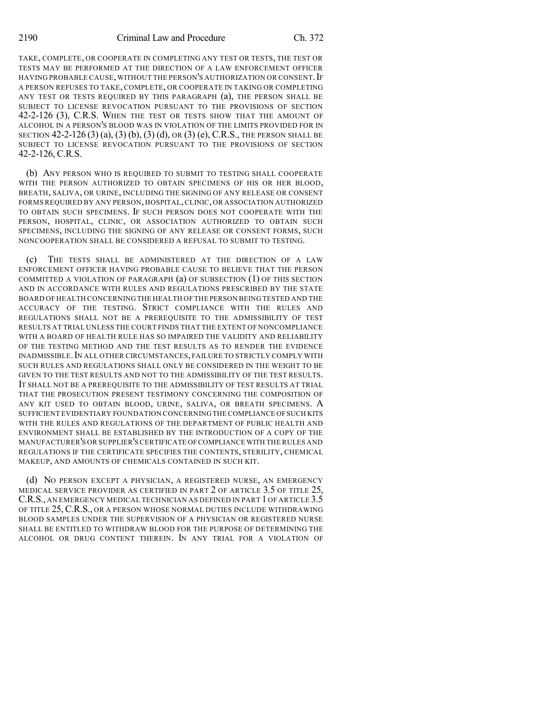TAKE, COMPLETE, OR COOPERATE IN COMPLETING ANY TEST OR TESTS, THE TEST OR TESTS MAY BE PERFORMED AT THE DIRECTION OF A LAW ENFORCEMENT OFFICER HAVING PROBABLE CAUSE, WITHOUT THE PERSON'S AUTHORIZATION OR CONSENT. IF A PERSON REFUSES TO TAKE, COMPLETE, OR COOPERATE IN TAKING OR COMPLETING ANY TEST OR TESTS REQUIRED BY THIS PARAGRAPH (a), THE PERSON SHALL BE SUBJECT TO LICENSE REVOCATION PURSUANT TO THE PROVISIONS OF SECTION 42-2-126 (3), C.R.S. WHEN THE TEST OR TESTS SHOW THAT THE AMOUNT OF ALCOHOL IN A PERSON'S BLOOD WAS IN VIOLATION OF THE LIMITS PROVIDED FOR IN SECTION 42-2-126 (3) (a), (3) (b), (3) (d), OR (3) (e), C.R.S., THE PERSON SHALL BE SUBJECT TO LICENSE REVOCATION PURSUANT TO THE PROVISIONS OF SECTION 42-2-126, C.R.S.

(b) ANY PERSON WHO IS REQUIRED TO SUBMIT TO TESTING SHALL COOPERATE WITH THE PERSON AUTHORIZED TO OBTAIN SPECIMENS OF HIS OR HER BLOOD, BREATH, SALIVA, OR URINE, INCLUDING THE SIGNING OF ANY RELEASE OR CONSENT FORMS REQUIRED BY ANY PERSON, HOSPITAL,CLINIC, OR ASSOCIATION AUTHORIZED TO OBTAIN SUCH SPECIMENS. IF SUCH PERSON DOES NOT COOPERATE WITH THE PERSON, HOSPITAL, CLINIC, OR ASSOCIATION AUTHORIZED TO OBTAIN SUCH SPECIMENS, INCLUDING THE SIGNING OF ANY RELEASE OR CONSENT FORMS, SUCH NONCOOPERATION SHALL BE CONSIDERED A REFUSAL TO SUBMIT TO TESTING.

(c) THE TESTS SHALL BE ADMINISTERED AT THE DIRECTION OF A LAW ENFORCEMENT OFFICER HAVING PROBABLE CAUSE TO BELIEVE THAT THE PERSON COMMITTED A VIOLATION OF PARAGRAPH  $(a)$  of subsection  $(1)$  of this section AND IN ACCORDANCE WITH RULES AND REGULATIONS PRESCRIBED BY THE STATE BOARD OF HEALTH CONCERNING THE HEALTH OF THE PERSON BEING TESTED AND THE ACCURACY OF THE TESTING. STRICT COMPLIANCE WITH THE RULES AND REGULATIONS SHALL NOT BE A PREREQUISITE TO THE ADMISSIBILITY OF TEST RESULTS AT TRIAL UNLESS THE COURT FINDS THAT THE EXTENT OF NONCOMPLIANCE WITH A BOARD OF HEALTH RULE HAS SO IMPAIRED THE VALIDITY AND RELIABILITY OF THE TESTING METHOD AND THE TEST RESULTS AS TO RENDER THE EVIDENCE INADMISSIBLE.IN ALL OTHER CIRCUMSTANCES, FAILURE TO STRICTLY COMPLY WITH SUCH RULES AND REGULATIONS SHALL ONLY BE CONSIDERED IN THE WEIGHT TO BE GIVEN TO THE TEST RESULTS AND NOT TO THE ADMISSIBILITY OF THE TEST RESULTS. IT SHALL NOT BE A PREREQUISITE TO THE ADMISSIBILITY OF TEST RESULTS AT TRIAL THAT THE PROSECUTION PRESENT TESTIMONY CONCERNING THE COMPOSITION OF ANY KIT USED TO OBTAIN BLOOD, URINE, SALIVA, OR BREATH SPECIMENS. A SUFFICIENT EVIDENTIARY FOUNDATION CONCERNINGTHE COMPLIANCE OFSUCH KITS WITH THE RULES AND REGULATIONS OF THE DEPARTMENT OF PUBLIC HEALTH AND ENVIRONMENT SHALL BE ESTABLISHED BY THE INTRODUCTION OF A COPY OF THE MANUFACTURER'S OR SUPPLIER'S CERTIFICATE OFCOMPLIANCE WITH THE RULES AND REGULATIONS IF THE CERTIFICATE SPECIFIES THE CONTENTS, STERILITY, CHEMICAL MAKEUP, AND AMOUNTS OF CHEMICALS CONTAINED IN SUCH KIT.

(d) NO PERSON EXCEPT A PHYSICIAN, A REGISTERED NURSE, AN EMERGENCY MEDICAL SERVICE PROVIDER AS CERTIFIED IN PART 2 OF ARTICLE 3.5 OF TITLE 25, C.R.S., AN EMERGENCY MEDICAL TECHNICIAN AS DEFINED IN PART 1 OF ARTICLE 3.5 OF TITLE 25, C.R.S., OR A PERSON WHOSE NORMAL DUTIES INCLUDE WITHDRAWING BLOOD SAMPLES UNDER THE SUPERVISION OF A PHYSICIAN OR REGISTERED NURSE SHALL BE ENTITLED TO WITHDRAW BLOOD FOR THE PURPOSE OF DETERMINING THE ALCOHOL OR DRUG CONTENT THEREIN. IN ANY TRIAL FOR A VIOLATION OF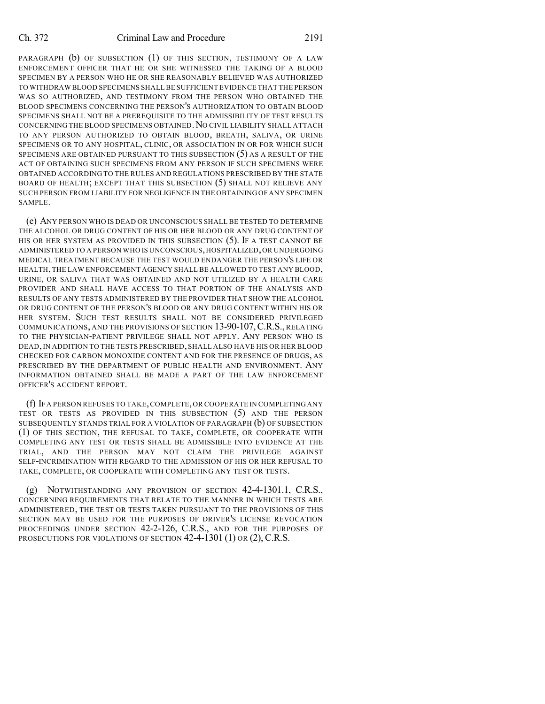#### Ch. 372 Criminal Law and Procedure 2191

PARAGRAPH (b) OF SUBSECTION (1) OF THIS SECTION, TESTIMONY OF A LAW ENFORCEMENT OFFICER THAT HE OR SHE WITNESSED THE TAKING OF A BLOOD SPECIMEN BY A PERSON WHO HE OR SHE REASONABLY BELIEVED WAS AUTHORIZED TO WITHDRAW BLOOD SPECIMENS SHALL BE SUFFICIENT EVIDENCE THAT THE PERSON WAS SO AUTHORIZED, AND TESTIMONY FROM THE PERSON WHO OBTAINED THE BLOOD SPECIMENS CONCERNING THE PERSON'S AUTHORIZATION TO OBTAIN BLOOD SPECIMENS SHALL NOT BE A PREREQUISITE TO THE ADMISSIBILITY OF TEST RESULTS CONCERNING THE BLOOD SPECIMENS OBTAINED. NO CIVIL LIABILITY SHALL ATTACH TO ANY PERSON AUTHORIZED TO OBTAIN BLOOD, BREATH, SALIVA, OR URINE SPECIMENS OR TO ANY HOSPITAL, CLINIC, OR ASSOCIATION IN OR FOR WHICH SUCH SPECIMENS ARE OBTAINED PURSUANT TO THIS SUBSECTION (5) AS A RESULT OF THE ACT OF OBTAINING SUCH SPECIMENS FROM ANY PERSON IF SUCH SPECIMENS WERE OBTAINED ACCORDING TO THE RULES AND REGULATIONS PRESCRIBED BY THE STATE BOARD OF HEALTH; EXCEPT THAT THIS SUBSECTION (5) SHALL NOT RELIEVE ANY SUCH PERSON FROM LIABILITY FOR NEGLIGENCE IN THE OBTAINING OF ANY SPECIMEN SAMPLE.

(e) ANY PERSON WHO IS DEAD OR UNCONSCIOUS SHALL BE TESTED TO DETERMINE THE ALCOHOL OR DRUG CONTENT OF HIS OR HER BLOOD OR ANY DRUG CONTENT OF HIS OR HER SYSTEM AS PROVIDED IN THIS SUBSECTION (5). IF A TEST CANNOT BE ADMINISTERED TO A PERSON WHO IS UNCONSCIOUS,HOSPITALIZED,OR UNDERGOING MEDICAL TREATMENT BECAUSE THE TEST WOULD ENDANGER THE PERSON'S LIFE OR HEALTH,THE LAW ENFORCEMENT AGENCY SHALL BE ALLOWED TO TEST ANY BLOOD, URINE, OR SALIVA THAT WAS OBTAINED AND NOT UTILIZED BY A HEALTH CARE PROVIDER AND SHALL HAVE ACCESS TO THAT PORTION OF THE ANALYSIS AND RESULTS OF ANY TESTS ADMINISTERED BY THE PROVIDER THAT SHOW THE ALCOHOL OR DRUG CONTENT OF THE PERSON'S BLOOD OR ANY DRUG CONTENT WITHIN HIS OR HER SYSTEM. SUCH TEST RESULTS SHALL NOT BE CONSIDERED PRIVILEGED COMMUNICATIONS, AND THE PROVISIONS OF SECTION 13-90-107,C.R.S., RELATING TO THE PHYSICIAN-PATIENT PRIVILEGE SHALL NOT APPLY. ANY PERSON WHO IS DEAD,IN ADDITION TO THE TESTS PRESCRIBED, SHALL ALSO HAVE HIS OR HER BLOOD CHECKED FOR CARBON MONOXIDE CONTENT AND FOR THE PRESENCE OF DRUGS, AS PRESCRIBED BY THE DEPARTMENT OF PUBLIC HEALTH AND ENVIRONMENT. ANY INFORMATION OBTAINED SHALL BE MADE A PART OF THE LAW ENFORCEMENT OFFICER'S ACCIDENT REPORT.

(f) IF A PERSON REFUSES TO TAKE,COMPLETE,OR COOPERATE IN COMPLETING ANY TEST OR TESTS AS PROVIDED IN THIS SUBSECTION (5) AND THE PERSON SUBSEQUENTLY STANDS TRIAL FOR A VIOLATION OF PARAGRAPH  $(b)$  OF SUBSECTION (1) OF THIS SECTION, THE REFUSAL TO TAKE, COMPLETE, OR COOPERATE WITH COMPLETING ANY TEST OR TESTS SHALL BE ADMISSIBLE INTO EVIDENCE AT THE TRIAL, AND THE PERSON MAY NOT CLAIM THE PRIVILEGE AGAINST SELF-INCRIMINATION WITH REGARD TO THE ADMISSION OF HIS OR HER REFUSAL TO TAKE, COMPLETE, OR COOPERATE WITH COMPLETING ANY TEST OR TESTS.

(g) NOTWITHSTANDING ANY PROVISION OF SECTION 42-4-1301.1, C.R.S., CONCERNING REQUIREMENTS THAT RELATE TO THE MANNER IN WHICH TESTS ARE ADMINISTERED, THE TEST OR TESTS TAKEN PURSUANT TO THE PROVISIONS OF THIS SECTION MAY BE USED FOR THE PURPOSES OF DRIVER'S LICENSE REVOCATION PROCEEDINGS UNDER SECTION 42-2-126, C.R.S., AND FOR THE PURPOSES OF PROSECUTIONS FOR VIOLATIONS OF SECTION 42-4-1301 (1) OR (2), C.R.S.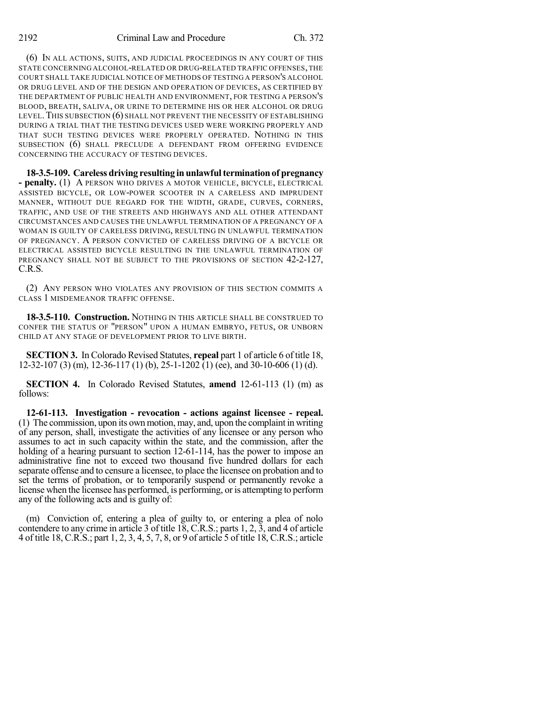(6) IN ALL ACTIONS, SUITS, AND JUDICIAL PROCEEDINGS IN ANY COURT OF THIS STATE CONCERNING ALCOHOL-RELATED OR DRUG-RELATED TRAFFIC OFFENSES,THE COURT SHALL TAKE JUDICIAL NOTICE OF METHODS OF TESTING A PERSON'S ALCOHOL OR DRUG LEVEL AND OF THE DESIGN AND OPERATION OF DEVICES, AS CERTIFIED BY THE DEPARTMENT OF PUBLIC HEALTH AND ENVIRONMENT, FOR TESTING A PERSON'S BLOOD, BREATH, SALIVA, OR URINE TO DETERMINE HIS OR HER ALCOHOL OR DRUG LEVEL.THIS SUBSECTION (6) SHALL NOT PREVENT THE NECESSITY OF ESTABLISHING DURING A TRIAL THAT THE TESTING DEVICES USED WERE WORKING PROPERLY AND THAT SUCH TESTING DEVICES WERE PROPERLY OPERATED. NOTHING IN THIS SUBSECTION (6) SHALL PRECLUDE A DEFENDANT FROM OFFERING EVIDENCE CONCERNING THE ACCURACY OF TESTING DEVICES.

**18-3.5-109. Careless driving resulting in unlawfulterminationof pregnancy - penalty.** (1) A PERSON WHO DRIVES A MOTOR VEHICLE, BICYCLE, ELECTRICAL ASSISTED BICYCLE, OR LOW-POWER SCOOTER IN A CARELESS AND IMPRUDENT MANNER, WITHOUT DUE REGARD FOR THE WIDTH, GRADE, CURVES, CORNERS, TRAFFIC, AND USE OF THE STREETS AND HIGHWAYS AND ALL OTHER ATTENDANT CIRCUMSTANCES AND CAUSES THE UNLAWFUL TERMINATION OF A PREGNANCY OF A WOMAN IS GUILTY OF CARELESS DRIVING, RESULTING IN UNLAWFUL TERMINATION OF PREGNANCY. A PERSON CONVICTED OF CARELESS DRIVING OF A BICYCLE OR ELECTRICAL ASSISTED BICYCLE RESULTING IN THE UNLAWFUL TERMINATION OF PREGNANCY SHALL NOT BE SUBJECT TO THE PROVISIONS OF SECTION 42-2-127, C.R.S.

(2) ANY PERSON WHO VIOLATES ANY PROVISION OF THIS SECTION COMMITS A CLASS 1 MISDEMEANOR TRAFFIC OFFENSE.

**18-3.5-110. Construction.** NOTHING IN THIS ARTICLE SHALL BE CONSTRUED TO CONFER THE STATUS OF "PERSON" UPON A HUMAN EMBRYO, FETUS, OR UNBORN CHILD AT ANY STAGE OF DEVELOPMENT PRIOR TO LIVE BIRTH.

**SECTION 3.** In Colorado Revised Statutes, **repeal** part 1 of article 6 of title 18, 12-32-107 (3) (m), 12-36-117 (1) (b), 25-1-1202 (1) (ee), and 30-10-606 (1) (d).

**SECTION 4.** In Colorado Revised Statutes, **amend** 12-61-113 (1) (m) as follows:

**12-61-113. Investigation - revocation - actions against licensee - repeal.** (1) The commission, upon its own motion, may, and, upon the complaint in writing of any person, shall, investigate the activities of any licensee or any person who assumes to act in such capacity within the state, and the commission, after the holding of a hearing pursuant to section 12-61-114, has the power to impose an administrative fine not to exceed two thousand five hundred dollars for each separate offense and to censure a licensee, to place the licensee on probation and to set the terms of probation, or to temporarily suspend or permanently revoke a license when the licensee has performed, is performing, or is attempting to perform any of the following acts and is guilty of:

(m) Conviction of, entering a plea of guilty to, or entering a plea of nolo contendere to any crime in article 3 of title 18, C.R.S.; parts 1, 2, 3, and 4 of article 4 of title 18, C.R.S.; part 1, 2, 3, 4, 5, 7, 8, or 9 of article 5 of title 18, C.R.S.; article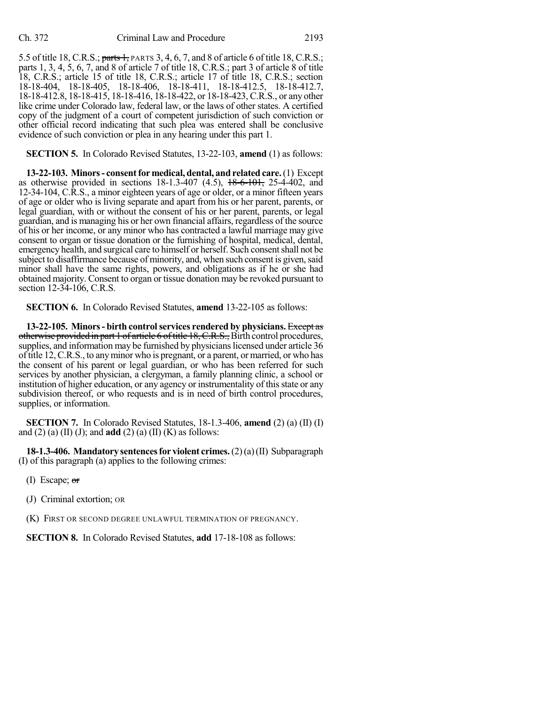5.5 of title 18, C.R.S.; parts 1, PARTS 3, 4, 6, 7, and 8 of article 6 of title 18, C.R.S.; parts 1, 3, 4, 5, 6, 7, and 8 of article 7 of title 18, C.R.S.; part 3 of article 8 of title 18, C.R.S.; article 15 of title 18, C.R.S.; article 17 of title 18, C.R.S.; section 18-18-404, 18-18-405, 18-18-406, 18-18-411, 18-18-412.5, 18-18-412.7, 18-18-412.8, 18-18-415, 18-18-416, 18-18-422, or 18-18-423, C.R.S., or any other like crime under Colorado law, federal law, or the laws of other states. A certified copy of the judgment of a court of competent jurisdiction of such conviction or other official record indicating that such plea was entered shall be conclusive evidence of such conviction or plea in any hearing under this part 1.

**SECTION 5.** In Colorado Revised Statutes, 13-22-103, **amend** (1) as follows:

**13-22-103. Minors- consentfor medical, dental, and related care.**(1) Except as otherwise provided in sections  $18-1.3-407$   $(4.5)$ ,  $18-6-101$ ,  $25-4-402$ , and 12-34-104, C.R.S., a minor eighteen years of age or older, or a minor fifteen years of age or older who is living separate and apart from his or her parent, parents, or legal guardian, with or without the consent of his or her parent, parents, or legal guardian, and is managing his or her own financial affairs, regardless of the source of his or her income, or any minor who has contracted a lawful marriage may give consent to organ or tissue donation or the furnishing of hospital, medical, dental, emergency health, and surgical care to himself or herself. Such consentshall not be subject to disaffirmance because of minority, and, when such consent is given, said minor shall have the same rights, powers, and obligations as if he or she had obtained majority. Consent to organ or tissue donation may be revoked pursuant to section 12-34-106, C.R.S.

**SECTION 6.** In Colorado Revised Statutes, **amend** 13-22-105 as follows:

**13-22-105. Minors- birth controlservices rendered by physicians.** Except as otherwise provided in part 1 of article 6 of title 18, C.R.S., Birth control procedures, supplies, and information may be furnished by physicians licensed under article 36 oftitle 12,C.R.S., to anyminor who is pregnant, or a parent, or married, or who has the consent of his parent or legal guardian, or who has been referred for such services by another physician, a clergyman, a family planning clinic, a school or institution of higher education, or any agency or instrumentality of this state or any subdivision thereof, or who requests and is in need of birth control procedures, supplies, or information.

**SECTION 7.** In Colorado Revised Statutes, 18-1.3-406, **amend** (2) (a) (II) (I) and (2) (a) (II) (J); and **add** (2) (a) (II) (K) as follows:

**18-1.3-406. Mandatory sentencesfor violent crimes.**(2)(a)(II) Subparagraph (I) of this paragraph (a) applies to the following crimes:

- (I) Escape; or
- (J) Criminal extortion; OR
- (K) FIRST OR SECOND DEGREE UNLAWFUL TERMINATION OF PREGNANCY.

**SECTION 8.** In Colorado Revised Statutes, **add** 17-18-108 as follows: